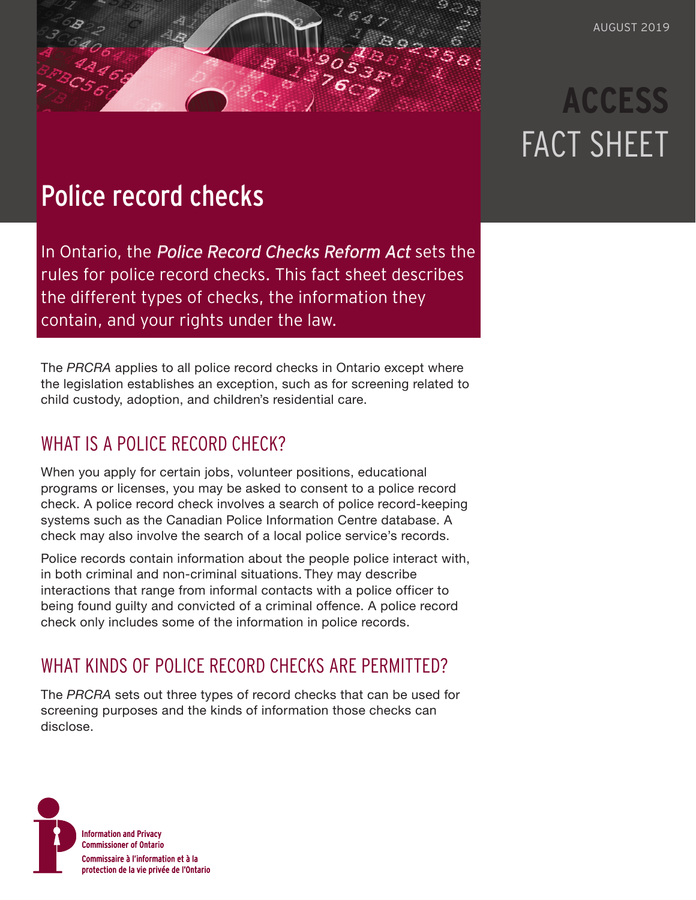# **ACCESS** FACT SHEET

## Police record checks

In Ontario, the *[Police Record Checks Reform Act](https://www.ontario.ca/laws/statute/15p30)* sets the rules for police record checks. This fact sheet describes the different types of checks, the information they contain, and your rights under the law.

The *PRCRA* applies to all police record checks in Ontario except where the legislation establishes an exception, such as for screening related to child custody, adoption, and children's residential care.

## WHAT IS A POLICE RECORD CHECK?

When you apply for certain jobs, volunteer positions, educational programs or licenses, you may be asked to consent to a police record check. A police record check involves a search of police record-keeping systems such as the Canadian Police Information Centre database. A check may also involve the search of a local police service's records.

Police records contain information about the people police interact with, in both criminal and non-criminal situations. They may describe interactions that range from informal contacts with a police officer to being found guilty and convicted of a criminal offence. A police record check only includes some of the information in police records.

## WHAT KINDS OF POLICE RECORD CHECKS ARE PERMITTED?

The *PRCRA* sets out three types of record checks that can be used for screening purposes and the kinds of information those checks can disclose.

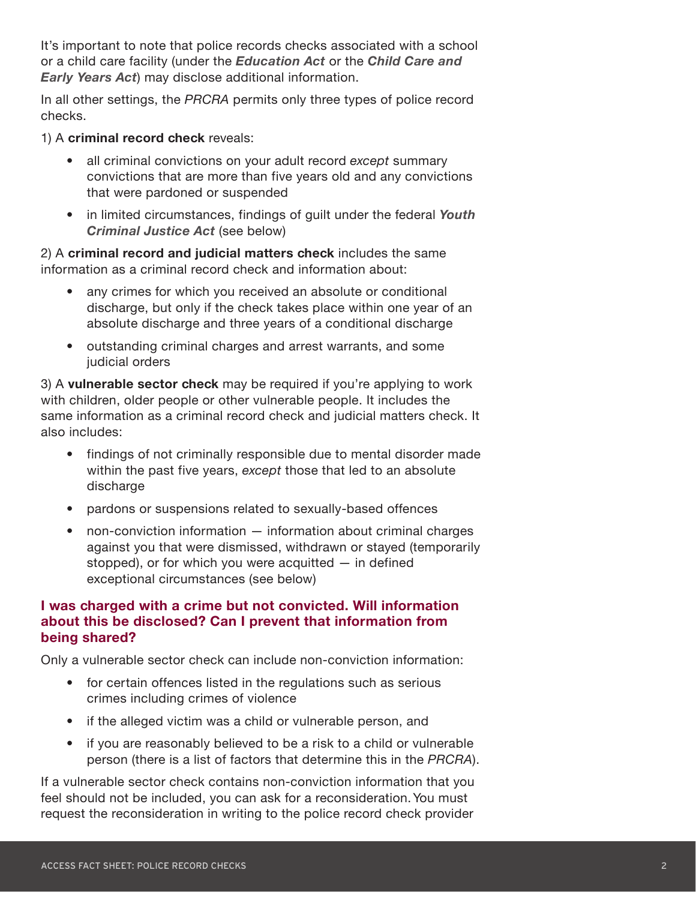It's important to note that police records checks associated with a school or a child care facility (under the *[Education Act](https://www.ontario.ca/laws/statute/90e02)* or the *[Child Care and](https://www.ontario.ca/laws/statute/14c11)  [Early Years Act](https://www.ontario.ca/laws/statute/14c11)*) may disclose additional information.

In all other settings, the *PRCRA* permits only three types of police record checks.

1) A **criminal record check** reveals:

- all criminal convictions on your adult record *except* summary convictions that are more than five years old and any convictions that were pardoned or suspended
- in limited circumstances, findings of guilt under the federal *[Youth](https://www.justice.gc.ca/eng/cj-jp/yj-jj/tools-outils/back-hist.html)  [Criminal Justice Act](https://www.justice.gc.ca/eng/cj-jp/yj-jj/tools-outils/back-hist.html)* (see below)

2) A **criminal record and judicial matters check** includes the same information as a criminal record check and information about:

- any crimes for which you received an absolute or conditional discharge, but only if the check takes place within one year of an absolute discharge and three years of a conditional discharge
- outstanding criminal charges and arrest warrants, and some judicial orders

3) A **vulnerable sector check** may be required if you're applying to work with children, older people or other vulnerable people. It includes the same information as a criminal record check and judicial matters check. It also includes:

- findings of not criminally responsible due to mental disorder made within the past five years, *except* those that led to an absolute discharge
- pardons or suspensions related to sexually-based offences
- non-conviction information information about criminal charges against you that were dismissed, withdrawn or stayed (temporarily stopped), or for which you were acquitted — in defined exceptional circumstances (see below)

#### **I was charged with a crime but not convicted. Will information about this be disclosed? Can I prevent that information from being shared?**

Only a vulnerable sector check can include non-conviction information:

- for certain offences listed in the regulations such as serious crimes including crimes of violence
- if the alleged victim was a child or vulnerable person, and
- if you are reasonably believed to be a risk to a child or vulnerable person (there is a list of factors that determine this in the *PRCRA*).

If a vulnerable sector check contains non-conviction information that you feel should not be included, you can ask for a reconsideration. You must request the reconsideration in writing to the police record check provider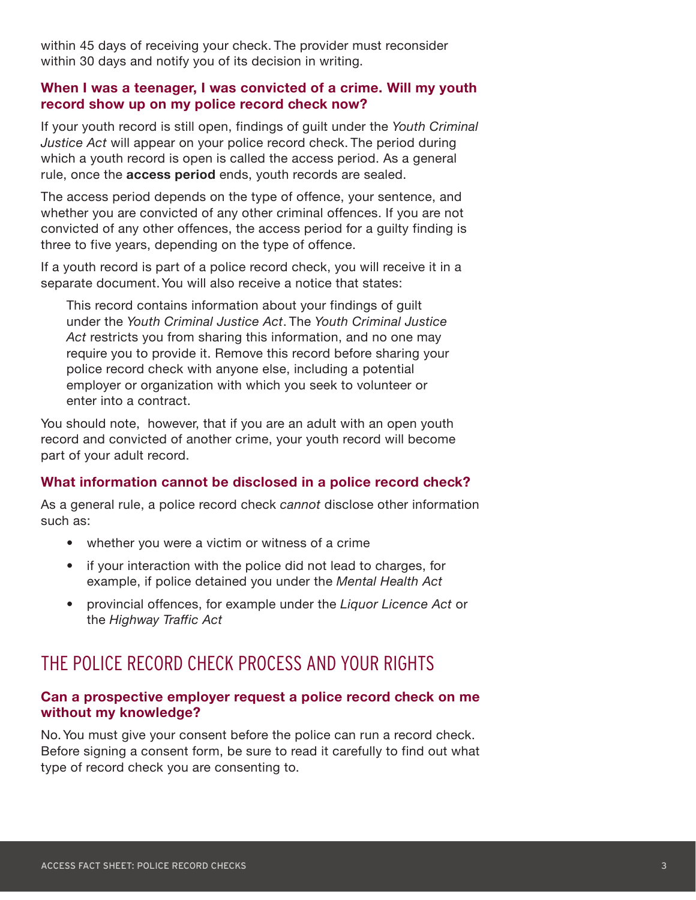within 45 days of receiving your check. The provider must reconsider within 30 days and notify you of its decision in writing.

#### **When I was a teenager, I was convicted of a crime. Will my youth record show up on my police record check now?**

If your youth record is still open, findings of guilt under the *Youth Criminal Justice Act* will appear on your police record check. The period during which a youth record is open is called the access period. As a general rule, once the **access period** ends, youth records are sealed.

The access period depends on the type of offence, your sentence, and whether you are convicted of any other criminal offences. If you are not convicted of any other offences, the access period for a guilty finding is three to five years, depending on the type of offence.

If a youth record is part of a police record check, you will receive it in a separate document. You will also receive a notice that states:

This record contains information about your findings of guilt under the *Youth Criminal Justice Act*. The *Youth Criminal Justice Act* restricts you from sharing this information, and no one may require you to provide it. Remove this record before sharing your police record check with anyone else, including a potential employer or organization with which you seek to volunteer or enter into a contract.

You should note, however, that if you are an adult with an open youth record and convicted of another crime, your youth record will become part of your adult record.

#### **What information cannot be disclosed in a police record check?**

As a general rule, a police record check *cannot* disclose other information such as:

- whether you were a victim or witness of a crime
- if your interaction with the police did not lead to charges, for example, if police detained you under the *Mental Health Act*
- provincial offences, for example under the *Liquor Licence Act* or the *Highway Traffic Act*

## THE POLICE RECORD CHECK PROCESS AND YOUR RIGHTS

#### **Can a prospective employer request a police record check on me without my knowledge?**

No. You must give your consent before the police can run a record check. Before signing a consent form, be sure to read it carefully to find out what type of record check you are consenting to.